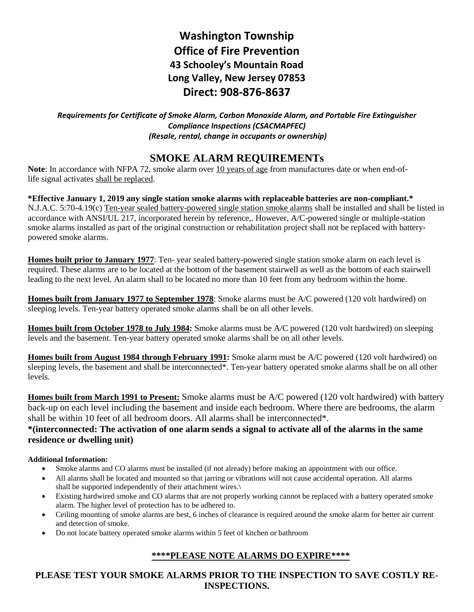# **Washington Township Office of Fire Prevention 43 Schooley's Mountain Road Long Valley, New Jersey 07853 Direct: 908-876-8637**

*Requirements for Certificate of Smoke Alarm, Carbon Monoxide Alarm, and Portable Fire Extinguisher Compliance Inspections (CSACMAPFEC) (Resale, rental, change in occupants or ownership)*

## **SMOKE ALARM REQUIREMENTs**

**Note**: In accordance with NFPA 72, smoke alarm over 10 years of age from manufactures date or when end-oflife signal activates shall be replaced.

**\*Effective January 1, 2019 any single station smoke alarms with replaceable batteries are non-compliant.\*** N.J.A.C. 5:70-4.19(c) Ten-year sealed battery-powered single station smoke alarms shall be installed and shall be listed in accordance with ANSI/UL 217, incorporated herein by reference,. However, A/C-powered single or multiple-station smoke alarms installed as part of the original construction or rehabilitation project shall not be replaced with batterypowered smoke alarms.

**Homes built prior to January 1977**: Ten- year sealed battery-powered single station smoke alarm on each level is required. These alarms are to be located at the bottom of the basement stairwell as well as the bottom of each stairwell leading to the next level. An alarm shall to be located no more than 10 feet from any bedroom within the home.

**Homes built from January 1977 to September 1978**: Smoke alarms must be A/C powered (120 volt hardwired) on sleeping levels. Ten-year battery operated smoke alarms shall be on all other levels.

**Homes built from October 1978 to July 1984:** Smoke alarms must be A/C powered (120 volt hardwired) on sleeping levels and the basement. Ten-year battery operated smoke alarms shall be on all other levels.

**Homes built from August 1984 through February 1991:** Smoke alarm must be A/C powered (120 volt hardwired) on sleeping levels, the basement and shall be interconnected<sup>\*</sup>. Ten-year battery operated smoke alarms shall be on all other levels.

**Homes built from March 1991 to Present:** Smoke alarms must be A/C powered (120 volt hardwired) with battery back-up on each level including the basement and inside each bedroom. Where there are bedrooms, the alarm shall be within 10 feet of all bedroom doors. All alarms shall be interconnected\*.

### **\*(interconnected: The activation of one alarm sends a signal to activate all of the alarms in the same residence or dwelling unit)**

#### **Additional Information:**

- Smoke alarms and CO alarms must be installed (if not already) before making an appointment with our office.
- All alarms shall be located and mounted so that jarring or vibrations will not cause accidental operation. All alarms shall be supported independently of their attachment wires.\
- Existing hardwired smoke and CO alarms that are not properly working cannot be replaced with a battery operated smoke alarm. The higher level of protection has to be adhered to.
- Ceiling mounting of smoke alarms are best, 6 inches of clearance is required around the smoke alarm for better air current and detection of smoke.
- Do not locate battery operated smoke alarms within 5 feet of kitchen or bathroom

### **\*\*\*\*PLEASE NOTE ALARMS DO EXPIRE\*\*\*\***

**PLEASE TEST YOUR SMOKE ALARMS PRIOR TO THE INSPECTION TO SAVE COSTLY RE-INSPECTIONS.**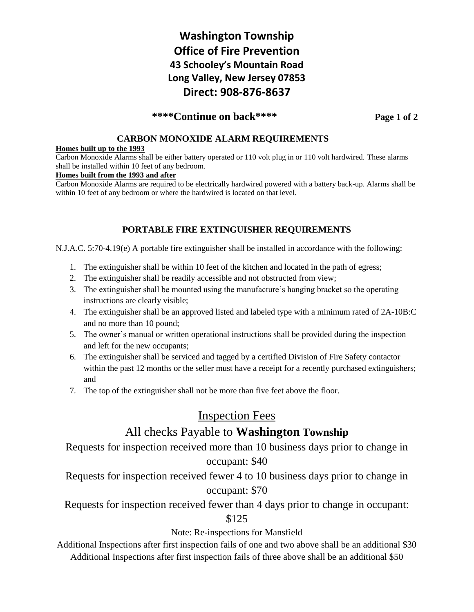## **Washington Township Office of Fire Prevention 43 Schooley's Mountain Road Long Valley, New Jersey 07853 Direct: 908-876-8637**

### **\*\*\*\*Continue on back\*\*\*\* Page 1 of 2**

#### **CARBON MONOXIDE ALARM REQUIREMENTS**

#### **Homes built up to the 1993**

Carbon Monoxide Alarms shall be either battery operated or 110 volt plug in or 110 volt hardwired. These alarms shall be installed within 10 feet of any bedroom.

#### **Homes built from the 1993 and after**

Carbon Monoxide Alarms are required to be electrically hardwired powered with a battery back-up. Alarms shall be within 10 feet of any bedroom or where the hardwired is located on that level.

#### **PORTABLE FIRE EXTINGUISHER REQUIREMENTS**

N.J.A.C. 5:70-4.19(e) A portable fire extinguisher shall be installed in accordance with the following:

- 1. The extinguisher shall be within 10 feet of the kitchen and located in the path of egress;
- 2. The extinguisher shall be readily accessible and not obstructed from view;
- 3. The extinguisher shall be mounted using the manufacture's hanging bracket so the operating instructions are clearly visible;
- 4. The extinguisher shall be an approved listed and labeled type with a minimum rated of 2A-10B:C and no more than 10 pound;
- 5. The owner's manual or written operational instructions shall be provided during the inspection and left for the new occupants;
- 6. The extinguisher shall be serviced and tagged by a certified Division of Fire Safety contactor within the past 12 months or the seller must have a receipt for a recently purchased extinguishers; and
- 7. The top of the extinguisher shall not be more than five feet above the floor.

## Inspection Fees

## All checks Payable to **Washington Township**

Requests for inspection received more than 10 business days prior to change in occupant: \$40

Requests for inspection received fewer 4 to 10 business days prior to change in occupant: \$70

Requests for inspection received fewer than 4 days prior to change in occupant:

\$125

#### Note: Re-inspections for Mansfield

Additional Inspections after first inspection fails of one and two above shall be an additional \$30 Additional Inspections after first inspection fails of three above shall be an additional \$50